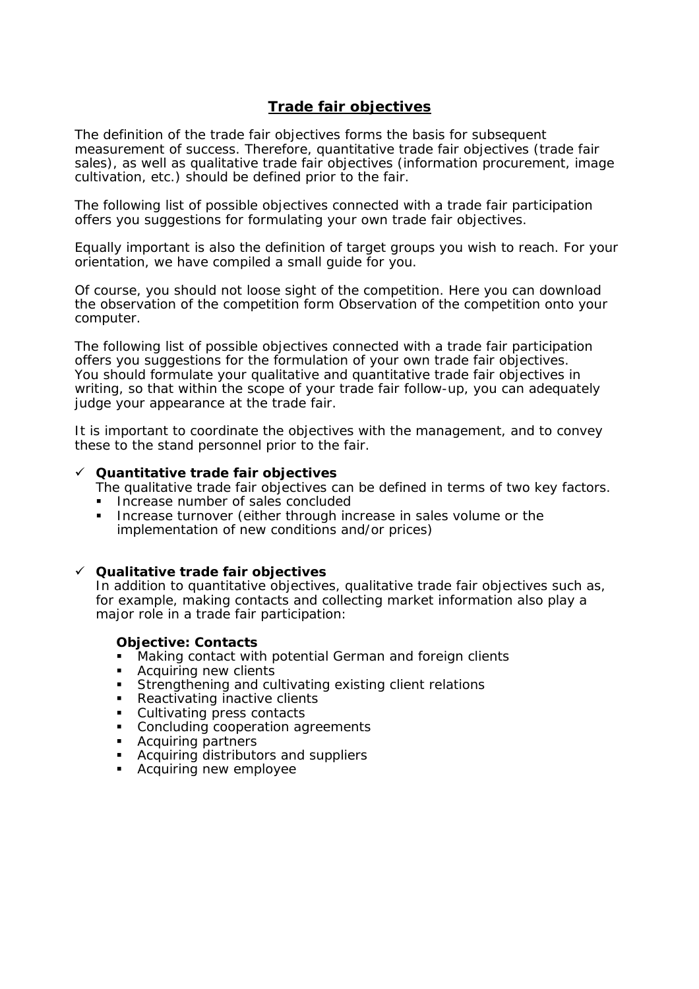# **Trade fair objectives**

The definition of the trade fair objectives forms the basis for subsequent measurement of success. Therefore, quantitative trade fair objectives (trade fair sales), as well as qualitative trade fair objectives (information procurement, image cultivation, etc.) should be defined prior to the fair.

The following list of possible objectives connected with a trade fair participation offers you suggestions for formulating your own trade fair objectives.

Equally important is also the definition of target groups you wish to reach. For your orientation, we have compiled a small guide for you.

Of course, you should not loose sight of the competition. Here you can download the observation of the competition form Observation of the competition onto your computer.

The following list of possible objectives connected with a trade fair participation offers you suggestions for the formulation of your own trade fair objectives. You should formulate your qualitative and quantitative trade fair objectives in writing, so that within the scope of your trade fair follow-up, you can adequately judge your appearance at the trade fair.

It is important to coordinate the objectives with the management, and to convey these to the stand personnel prior to the fair.

## ! *Quantitative trade fair objectives*

- The qualitative trade fair objectives can be defined in terms of two key factors.
- **Increase number of sales concluded**
- **Increase turnover (either through increase in sales volume or the** implementation of new conditions and/or prices)

## ! *Qualitative trade fair objectives*

In addition to quantitative objectives, qualitative trade fair objectives such as, for example, making contacts and collecting market information also play a major role in a trade fair participation:

## **Objective: Contacts**

- **Making contact with potential German and foreign clients**
- **EXECUTE Acquiring new clients**
- Strengthening and cultivating existing client relations
- Reactivating inactive clients
- Cultivating press contacts
- Concluding cooperation agreements
- **Acquiring partners**
- Acquiring distributors and suppliers
- Acquiring new employee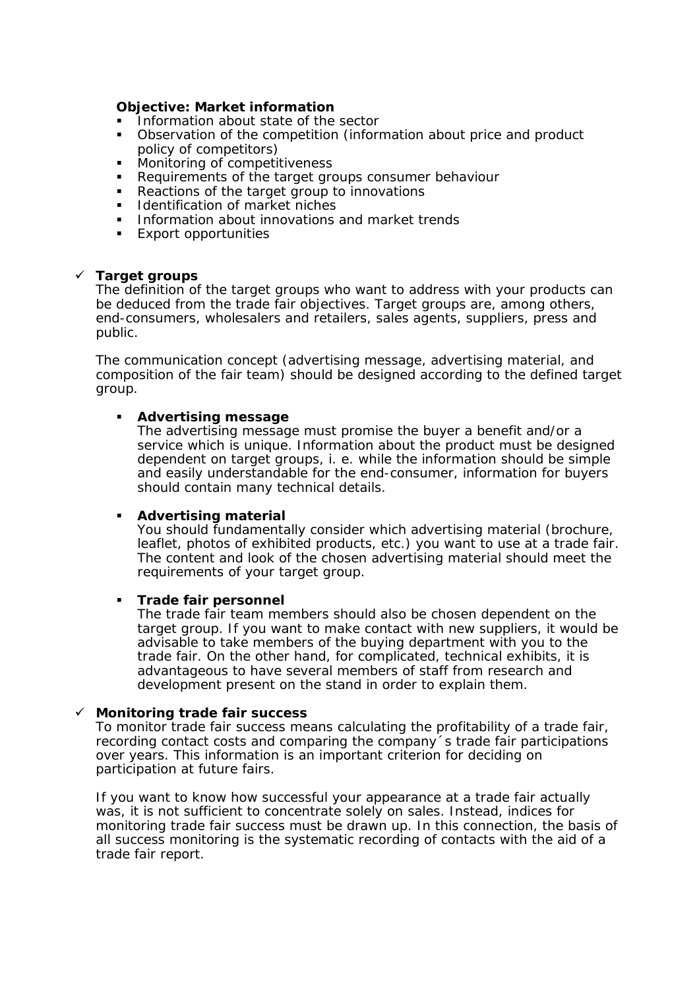# **Objective: Market information**

- Information about state of the sector
- Observation of the competition (information about price and product policy of competitors)
- Monitoring of competitiveness
- Requirements of the target groups consumer behaviour
- Reactions of the target group to innovations
- I dentification of market niches
- Information about innovations and market trends
- Export opportunities

## ! *Target groups*

The definition of the target groups who want to address with your products can be deduced from the trade fair objectives. Target groups are, among others, end-consumers, wholesalers and retailers, sales agents, suppliers, press and public.

The communication concept (advertising message, advertising material, and composition of the fair team) should be designed according to the defined target group.

## " **Advertising message**

The advertising message must promise the buyer a benefit and/or a service which is unique. Information about the product must be designed dependent on target groups, i. e. while the information should be simple and easily understandable for the end-consumer, information for buyers should contain many technical details.

# " **Advertising material**

You should fundamentally consider which advertising material (brochure, leaflet, photos of exhibited products, etc.) you want to use at a trade fair. The content and look of the chosen advertising material should meet the requirements of your target group.

## " **Trade fair personnel**

The trade fair team members should also be chosen dependent on the target group. If you want to make contact with new suppliers, it would be advisable to take members of the buying department with you to the trade fair. On the other hand, for complicated, technical exhibits, it is advantageous to have several members of staff from research and development present on the stand in order to explain them.

## ! *Monitoring trade fair success*

To monitor trade fair success means calculating the profitability of a trade fair, recording contact costs and comparing the company´s trade fair participations over years. This information is an important criterion for deciding on participation at future fairs.

If you want to know how successful your appearance at a trade fair actually was, it is not sufficient to concentrate solely on sales. Instead, indices for monitoring trade fair success must be drawn up. In this connection, the basis of all success monitoring is the systematic recording of contacts with the aid of a trade fair report.